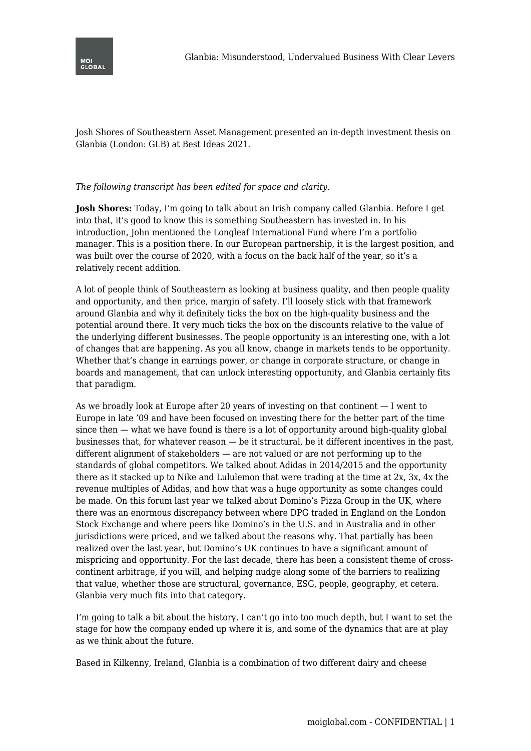

Josh Shores of Southeastern Asset Management presented an in-depth investment thesis on Glanbia (London: GLB) at Best Ideas 2021.

## *The following transcript has been edited for space and clarity.*

**Josh Shores:** Today, I'm going to talk about an Irish company called Glanbia. Before I get into that, it's good to know this is something Southeastern has invested in. In his introduction, John mentioned the Longleaf International Fund where I'm a portfolio manager. This is a position there. In our European partnership, it is the largest position, and was built over the course of 2020, with a focus on the back half of the year, so it's a relatively recent addition.

A lot of people think of Southeastern as looking at business quality, and then people quality and opportunity, and then price, margin of safety. I'll loosely stick with that framework around Glanbia and why it definitely ticks the box on the high-quality business and the potential around there. It very much ticks the box on the discounts relative to the value of the underlying different businesses. The people opportunity is an interesting one, with a lot of changes that are happening. As you all know, change in markets tends to be opportunity. Whether that's change in earnings power, or change in corporate structure, or change in boards and management, that can unlock interesting opportunity, and Glanbia certainly fits that paradigm.

As we broadly look at Europe after 20 years of investing on that continent — I went to Europe in late '09 and have been focused on investing there for the better part of the time since then — what we have found is there is a lot of opportunity around high-quality global businesses that, for whatever reason — be it structural, be it different incentives in the past, different alignment of stakeholders — are not valued or are not performing up to the standards of global competitors. We talked about Adidas in 2014/2015 and the opportunity there as it stacked up to Nike and Lululemon that were trading at the time at 2x, 3x, 4x the revenue multiples of Adidas, and how that was a huge opportunity as some changes could be made. On this forum last year we talked about Domino's Pizza Group in the UK, where there was an enormous discrepancy between where DPG traded in England on the London Stock Exchange and where peers like Domino's in the U.S. and in Australia and in other jurisdictions were priced, and we talked about the reasons why. That partially has been realized over the last year, but Domino's UK continues to have a significant amount of mispricing and opportunity. For the last decade, there has been a consistent theme of crosscontinent arbitrage, if you will, and helping nudge along some of the barriers to realizing that value, whether those are structural, governance, ESG, people, geography, et cetera. Glanbia very much fits into that category.

I'm going to talk a bit about the history. I can't go into too much depth, but I want to set the stage for how the company ended up where it is, and some of the dynamics that are at play as we think about the future.

Based in Kilkenny, Ireland, Glanbia is a combination of two different dairy and cheese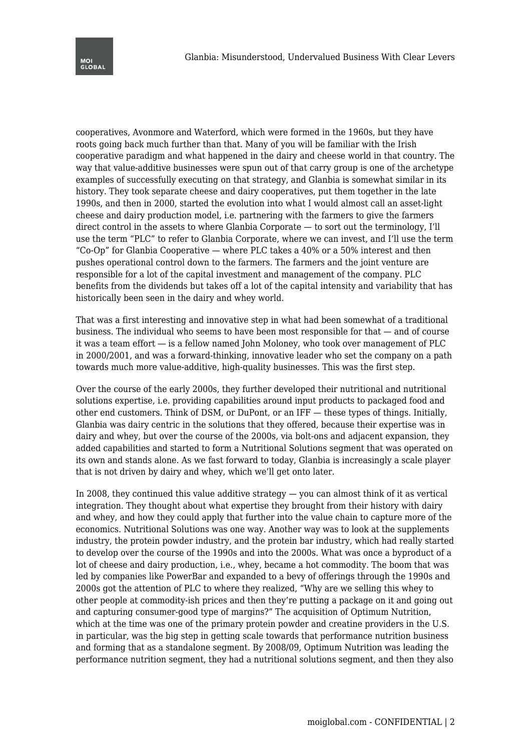cooperatives, Avonmore and Waterford, which were formed in the 1960s, but they have roots going back much further than that. Many of you will be familiar with the Irish cooperative paradigm and what happened in the dairy and cheese world in that country. The way that value-additive businesses were spun out of that carry group is one of the archetype examples of successfully executing on that strategy, and Glanbia is somewhat similar in its history. They took separate cheese and dairy cooperatives, put them together in the late 1990s, and then in 2000, started the evolution into what I would almost call an asset-light cheese and dairy production model, i.e. partnering with the farmers to give the farmers direct control in the assets to where Glanbia Corporate — to sort out the terminology, I'll use the term "PLC" to refer to Glanbia Corporate, where we can invest, and I'll use the term "Co-Op" for Glanbia Cooperative — where PLC takes a 40% or a 50% interest and then pushes operational control down to the farmers. The farmers and the joint venture are responsible for a lot of the capital investment and management of the company. PLC benefits from the dividends but takes off a lot of the capital intensity and variability that has historically been seen in the dairy and whey world.

That was a first interesting and innovative step in what had been somewhat of a traditional business. The individual who seems to have been most responsible for that — and of course it was a team effort ― is a fellow named John Moloney, who took over management of PLC in 2000/2001, and was a forward-thinking, innovative leader who set the company on a path towards much more value-additive, high-quality businesses. This was the first step.

Over the course of the early 2000s, they further developed their nutritional and nutritional solutions expertise, i.e. providing capabilities around input products to packaged food and other end customers. Think of DSM, or DuPont, or an IFF — these types of things. Initially, Glanbia was dairy centric in the solutions that they offered, because their expertise was in dairy and whey, but over the course of the 2000s, via bolt-ons and adjacent expansion, they added capabilities and started to form a Nutritional Solutions segment that was operated on its own and stands alone. As we fast forward to today, Glanbia is increasingly a scale player that is not driven by dairy and whey, which we'll get onto later.

In 2008, they continued this value additive strategy — you can almost think of it as vertical integration. They thought about what expertise they brought from their history with dairy and whey, and how they could apply that further into the value chain to capture more of the economics. Nutritional Solutions was one way. Another way was to look at the supplements industry, the protein powder industry, and the protein bar industry, which had really started to develop over the course of the 1990s and into the 2000s. What was once a byproduct of a lot of cheese and dairy production, i.e., whey, became a hot commodity. The boom that was led by companies like PowerBar and expanded to a bevy of offerings through the 1990s and 2000s got the attention of PLC to where they realized, "Why are we selling this whey to other people at commodity-ish prices and then they're putting a package on it and going out and capturing consumer-good type of margins?" The acquisition of Optimum Nutrition, which at the time was one of the primary protein powder and creatine providers in the U.S. in particular, was the big step in getting scale towards that performance nutrition business and forming that as a standalone segment. By 2008/09, Optimum Nutrition was leading the performance nutrition segment, they had a nutritional solutions segment, and then they also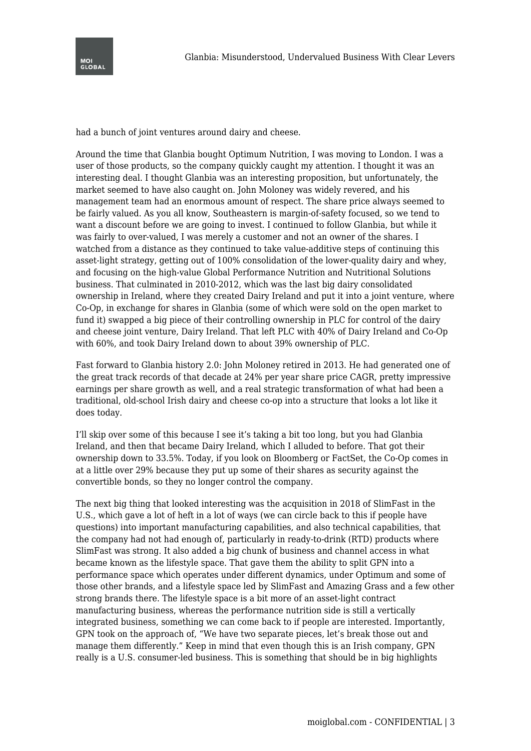had a bunch of joint ventures around dairy and cheese.

Around the time that Glanbia bought Optimum Nutrition, I was moving to London. I was a user of those products, so the company quickly caught my attention. I thought it was an interesting deal. I thought Glanbia was an interesting proposition, but unfortunately, the market seemed to have also caught on. John Moloney was widely revered, and his management team had an enormous amount of respect. The share price always seemed to be fairly valued. As you all know, Southeastern is margin-of-safety focused, so we tend to want a discount before we are going to invest. I continued to follow Glanbia, but while it was fairly to over-valued, I was merely a customer and not an owner of the shares. I watched from a distance as they continued to take value-additive steps of continuing this asset-light strategy, getting out of 100% consolidation of the lower-quality dairy and whey, and focusing on the high-value Global Performance Nutrition and Nutritional Solutions business. That culminated in 2010-2012, which was the last big dairy consolidated ownership in Ireland, where they created Dairy Ireland and put it into a joint venture, where Co-Op, in exchange for shares in Glanbia (some of which were sold on the open market to fund it) swapped a big piece of their controlling ownership in PLC for control of the dairy and cheese joint venture, Dairy Ireland. That left PLC with 40% of Dairy Ireland and Co-Op with 60%, and took Dairy Ireland down to about 39% ownership of PLC.

Fast forward to Glanbia history 2.0: John Moloney retired in 2013. He had generated one of the great track records of that decade at 24% per year share price CAGR, pretty impressive earnings per share growth as well, and a real strategic transformation of what had been a traditional, old-school Irish dairy and cheese co-op into a structure that looks a lot like it does today.

I'll skip over some of this because I see it's taking a bit too long, but you had Glanbia Ireland, and then that became Dairy Ireland, which I alluded to before. That got their ownership down to 33.5%. Today, if you look on Bloomberg or FactSet, the Co-Op comes in at a little over 29% because they put up some of their shares as security against the convertible bonds, so they no longer control the company.

The next big thing that looked interesting was the acquisition in 2018 of SlimFast in the U.S., which gave a lot of heft in a lot of ways (we can circle back to this if people have questions) into important manufacturing capabilities, and also technical capabilities, that the company had not had enough of, particularly in ready-to-drink (RTD) products where SlimFast was strong. It also added a big chunk of business and channel access in what became known as the lifestyle space. That gave them the ability to split GPN into a performance space which operates under different dynamics, under Optimum and some of those other brands, and a lifestyle space led by SlimFast and Amazing Grass and a few other strong brands there. The lifestyle space is a bit more of an asset-light contract manufacturing business, whereas the performance nutrition side is still a vertically integrated business, something we can come back to if people are interested. Importantly, GPN took on the approach of, "We have two separate pieces, let's break those out and manage them differently." Keep in mind that even though this is an Irish company, GPN really is a U.S. consumer-led business. This is something that should be in big highlights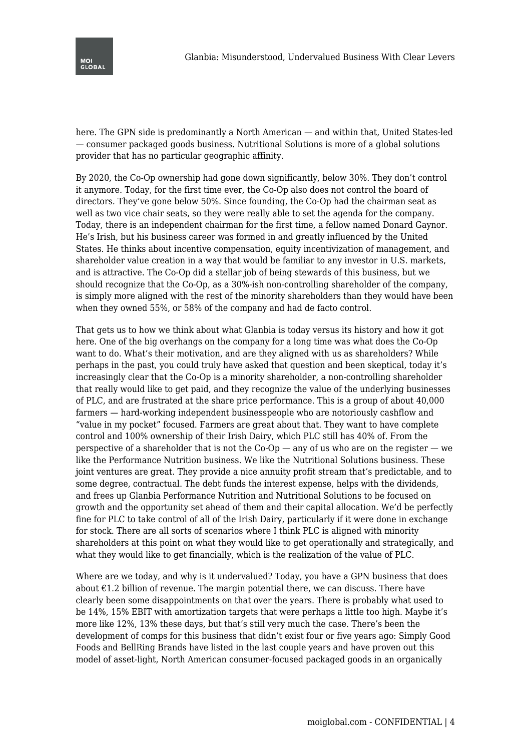

here. The GPN side is predominantly a North American — and within that, United States-led — consumer packaged goods business. Nutritional Solutions is more of a global solutions provider that has no particular geographic affinity.

By 2020, the Co-Op ownership had gone down significantly, below 30%. They don't control it anymore. Today, for the first time ever, the Co-Op also does not control the board of directors. They've gone below 50%. Since founding, the Co-Op had the chairman seat as well as two vice chair seats, so they were really able to set the agenda for the company. Today, there is an independent chairman for the first time, a fellow named Donard Gaynor. He's Irish, but his business career was formed in and greatly influenced by the United States. He thinks about incentive compensation, equity incentivization of management, and shareholder value creation in a way that would be familiar to any investor in U.S. markets, and is attractive. The Co-Op did a stellar job of being stewards of this business, but we should recognize that the Co-Op, as a 30%-ish non-controlling shareholder of the company, is simply more aligned with the rest of the minority shareholders than they would have been when they owned 55%, or 58% of the company and had de facto control.

That gets us to how we think about what Glanbia is today versus its history and how it got here. One of the big overhangs on the company for a long time was what does the Co-Op want to do. What's their motivation, and are they aligned with us as shareholders? While perhaps in the past, you could truly have asked that question and been skeptical, today it's increasingly clear that the Co-Op is a minority shareholder, a non-controlling shareholder that really would like to get paid, and they recognize the value of the underlying businesses of PLC, and are frustrated at the share price performance. This is a group of about 40,000 farmers — hard-working independent businesspeople who are notoriously cashflow and "value in my pocket" focused. Farmers are great about that. They want to have complete control and 100% ownership of their Irish Dairy, which PLC still has 40% of. From the perspective of a shareholder that is not the Co-Op — any of us who are on the register — we like the Performance Nutrition business. We like the Nutritional Solutions business. These joint ventures are great. They provide a nice annuity profit stream that's predictable, and to some degree, contractual. The debt funds the interest expense, helps with the dividends, and frees up Glanbia Performance Nutrition and Nutritional Solutions to be focused on growth and the opportunity set ahead of them and their capital allocation. We'd be perfectly fine for PLC to take control of all of the Irish Dairy, particularly if it were done in exchange for stock. There are all sorts of scenarios where I think PLC is aligned with minority shareholders at this point on what they would like to get operationally and strategically, and what they would like to get financially, which is the realization of the value of PLC.

Where are we today, and why is it undervalued? Today, you have a GPN business that does about  $\epsilon$ 1.2 billion of revenue. The margin potential there, we can discuss. There have clearly been some disappointments on that over the years. There is probably what used to be 14%, 15% EBIT with amortization targets that were perhaps a little too high. Maybe it's more like 12%, 13% these days, but that's still very much the case. There's been the development of comps for this business that didn't exist four or five years ago: Simply Good Foods and BellRing Brands have listed in the last couple years and have proven out this model of asset-light, North American consumer-focused packaged goods in an organically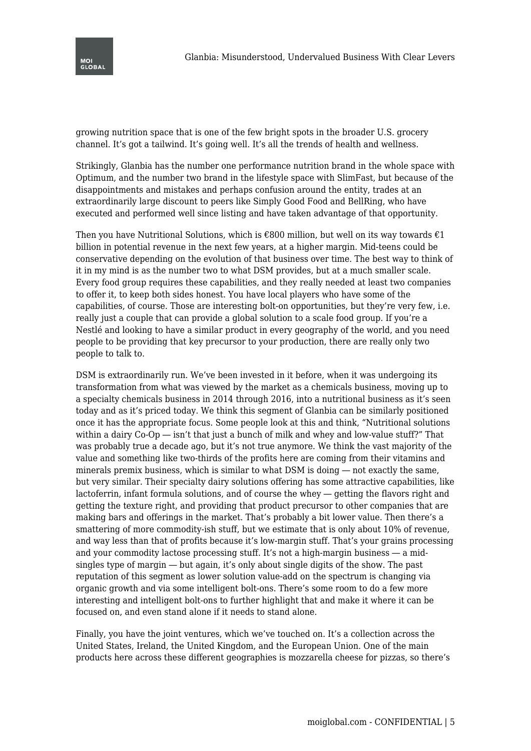growing nutrition space that is one of the few bright spots in the broader U.S. grocery channel. It's got a tailwind. It's going well. It's all the trends of health and wellness.

Strikingly, Glanbia has the number one performance nutrition brand in the whole space with Optimum, and the number two brand in the lifestyle space with SlimFast, but because of the disappointments and mistakes and perhaps confusion around the entity, trades at an extraordinarily large discount to peers like Simply Good Food and BellRing, who have executed and performed well since listing and have taken advantage of that opportunity.

Then you have Nutritional Solutions, which is  $\epsilon$ 800 million, but well on its way towards  $\epsilon$ 1 billion in potential revenue in the next few years, at a higher margin. Mid-teens could be conservative depending on the evolution of that business over time. The best way to think of it in my mind is as the number two to what DSM provides, but at a much smaller scale. Every food group requires these capabilities, and they really needed at least two companies to offer it, to keep both sides honest. You have local players who have some of the capabilities, of course. Those are interesting bolt-on opportunities, but they're very few, i.e. really just a couple that can provide a global solution to a scale food group. If you're a Nestlé and looking to have a similar product in every geography of the world, and you need people to be providing that key precursor to your production, there are really only two people to talk to.

DSM is extraordinarily run. We've been invested in it before, when it was undergoing its transformation from what was viewed by the market as a chemicals business, moving up to a specialty chemicals business in 2014 through 2016, into a nutritional business as it's seen today and as it's priced today. We think this segment of Glanbia can be similarly positioned once it has the appropriate focus. Some people look at this and think, "Nutritional solutions within a dairy Co-Op — isn't that just a bunch of milk and whey and low-value stuff?" That was probably true a decade ago, but it's not true anymore. We think the vast majority of the value and something like two-thirds of the profits here are coming from their vitamins and minerals premix business, which is similar to what DSM is doing ― not exactly the same, but very similar. Their specialty dairy solutions offering has some attractive capabilities, like lactoferrin, infant formula solutions, and of course the whey ― getting the flavors right and getting the texture right, and providing that product precursor to other companies that are making bars and offerings in the market. That's probably a bit lower value. Then there's a smattering of more commodity-ish stuff, but we estimate that is only about 10% of revenue, and way less than that of profits because it's low-margin stuff. That's your grains processing and your commodity lactose processing stuff. It's not a high-margin business ― a midsingles type of margin ― but again, it's only about single digits of the show. The past reputation of this segment as lower solution value-add on the spectrum is changing via organic growth and via some intelligent bolt-ons. There's some room to do a few more interesting and intelligent bolt-ons to further highlight that and make it where it can be focused on, and even stand alone if it needs to stand alone.

Finally, you have the joint ventures, which we've touched on. It's a collection across the United States, Ireland, the United Kingdom, and the European Union. One of the main products here across these different geographies is mozzarella cheese for pizzas, so there's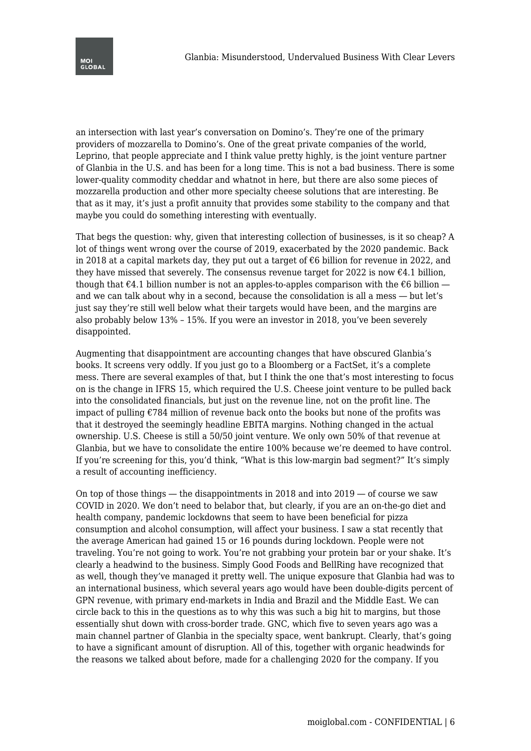

an intersection with last year's conversation on Domino's. They're one of the primary providers of mozzarella to Domino's. One of the great private companies of the world, Leprino, that people appreciate and I think value pretty highly, is the joint venture partner of Glanbia in the U.S. and has been for a long time. This is not a bad business. There is some lower-quality commodity cheddar and whatnot in here, but there are also some pieces of mozzarella production and other more specialty cheese solutions that are interesting. Be that as it may, it's just a profit annuity that provides some stability to the company and that maybe you could do something interesting with eventually.

That begs the question: why, given that interesting collection of businesses, is it so cheap? A lot of things went wrong over the course of 2019, exacerbated by the 2020 pandemic. Back in 2018 at a capital markets day, they put out a target of €6 billion for revenue in 2022, and they have missed that severely. The consensus revenue target for 2022 is now  $\epsilon$ 4.1 billion, though that  $\epsilon$ 4.1 billion number is not an apples-to-apples comparison with the  $\epsilon$ 6 billion and we can talk about why in a second, because the consolidation is all a mess ― but let's just say they're still well below what their targets would have been, and the margins are also probably below 13% – 15%. If you were an investor in 2018, you've been severely disappointed.

Augmenting that disappointment are accounting changes that have obscured Glanbia's books. It screens very oddly. If you just go to a Bloomberg or a FactSet, it's a complete mess. There are several examples of that, but I think the one that's most interesting to focus on is the change in IFRS 15, which required the U.S. Cheese joint venture to be pulled back into the consolidated financials, but just on the revenue line, not on the profit line. The impact of pulling €784 million of revenue back onto the books but none of the profits was that it destroyed the seemingly headline EBITA margins. Nothing changed in the actual ownership. U.S. Cheese is still a 50/50 joint venture. We only own 50% of that revenue at Glanbia, but we have to consolidate the entire 100% because we're deemed to have control. If you're screening for this, you'd think, "What is this low-margin bad segment?" It's simply a result of accounting inefficiency.

On top of those things — the disappointments in  $2018$  and into  $2019$  — of course we saw COVID in 2020. We don't need to belabor that, but clearly, if you are an on-the-go diet and health company, pandemic lockdowns that seem to have been beneficial for pizza consumption and alcohol consumption, will affect your business. I saw a stat recently that the average American had gained 15 or 16 pounds during lockdown. People were not traveling. You're not going to work. You're not grabbing your protein bar or your shake. It's clearly a headwind to the business. Simply Good Foods and BellRing have recognized that as well, though they've managed it pretty well. The unique exposure that Glanbia had was to an international business, which several years ago would have been double-digits percent of GPN revenue, with primary end-markets in India and Brazil and the Middle East. We can circle back to this in the questions as to why this was such a big hit to margins, but those essentially shut down with cross-border trade. GNC, which five to seven years ago was a main channel partner of Glanbia in the specialty space, went bankrupt. Clearly, that's going to have a significant amount of disruption. All of this, together with organic headwinds for the reasons we talked about before, made for a challenging 2020 for the company. If you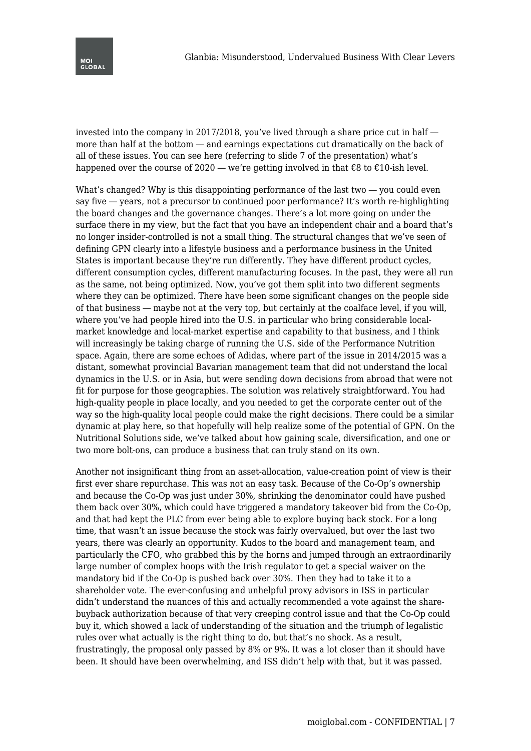invested into the company in 2017/2018, you've lived through a share price cut in half ― more than half at the bottom ― and earnings expectations cut dramatically on the back of all of these issues. You can see here (referring to slide 7 of the presentation) what's happened over the course of 2020 — we're getting involved in that  $\epsilon$ 8 to  $\epsilon$ 10-ish level.

What's changed? Why is this disappointing performance of the last two  $-$  you could even say five ― years, not a precursor to continued poor performance? It's worth re-highlighting the board changes and the governance changes. There's a lot more going on under the surface there in my view, but the fact that you have an independent chair and a board that's no longer insider-controlled is not a small thing. The structural changes that we've seen of defining GPN clearly into a lifestyle business and a performance business in the United States is important because they're run differently. They have different product cycles, different consumption cycles, different manufacturing focuses. In the past, they were all run as the same, not being optimized. Now, you've got them split into two different segments where they can be optimized. There have been some significant changes on the people side of that business ― maybe not at the very top, but certainly at the coalface level, if you will, where you've had people hired into the U.S. in particular who bring considerable localmarket knowledge and local-market expertise and capability to that business, and I think will increasingly be taking charge of running the U.S. side of the Performance Nutrition space. Again, there are some echoes of Adidas, where part of the issue in 2014/2015 was a distant, somewhat provincial Bavarian management team that did not understand the local dynamics in the U.S. or in Asia, but were sending down decisions from abroad that were not fit for purpose for those geographies. The solution was relatively straightforward. You had high-quality people in place locally, and you needed to get the corporate center out of the way so the high-quality local people could make the right decisions. There could be a similar dynamic at play here, so that hopefully will help realize some of the potential of GPN. On the Nutritional Solutions side, we've talked about how gaining scale, diversification, and one or two more bolt-ons, can produce a business that can truly stand on its own.

Another not insignificant thing from an asset-allocation, value-creation point of view is their first ever share repurchase. This was not an easy task. Because of the Co-Op's ownership and because the Co-Op was just under 30%, shrinking the denominator could have pushed them back over 30%, which could have triggered a mandatory takeover bid from the Co-Op, and that had kept the PLC from ever being able to explore buying back stock. For a long time, that wasn't an issue because the stock was fairly overvalued, but over the last two years, there was clearly an opportunity. Kudos to the board and management team, and particularly the CFO, who grabbed this by the horns and jumped through an extraordinarily large number of complex hoops with the Irish regulator to get a special waiver on the mandatory bid if the Co-Op is pushed back over 30%. Then they had to take it to a shareholder vote. The ever-confusing and unhelpful proxy advisors in ISS in particular didn't understand the nuances of this and actually recommended a vote against the sharebuyback authorization because of that very creeping control issue and that the Co-Op could buy it, which showed a lack of understanding of the situation and the triumph of legalistic rules over what actually is the right thing to do, but that's no shock. As a result, frustratingly, the proposal only passed by 8% or 9%. It was a lot closer than it should have been. It should have been overwhelming, and ISS didn't help with that, but it was passed.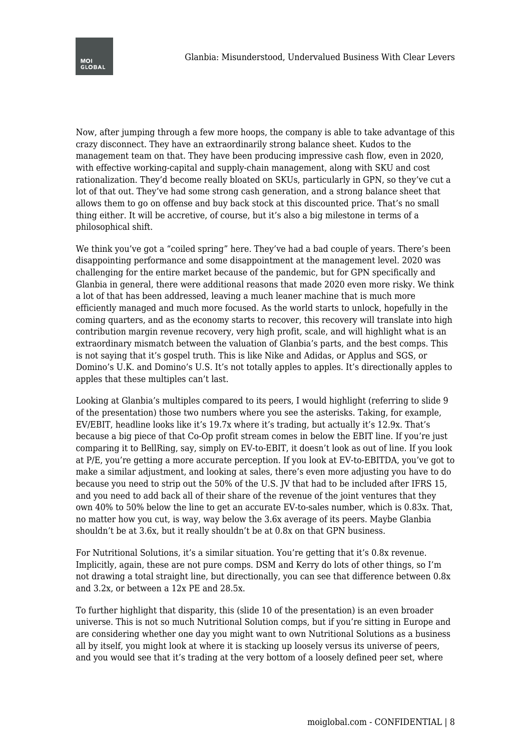Now, after jumping through a few more hoops, the company is able to take advantage of this crazy disconnect. They have an extraordinarily strong balance sheet. Kudos to the management team on that. They have been producing impressive cash flow, even in 2020, with effective working-capital and supply-chain management, along with SKU and cost rationalization. They'd become really bloated on SKUs, particularly in GPN, so they've cut a lot of that out. They've had some strong cash generation, and a strong balance sheet that allows them to go on offense and buy back stock at this discounted price. That's no small thing either. It will be accretive, of course, but it's also a big milestone in terms of a philosophical shift.

We think you've got a "coiled spring" here. They've had a bad couple of years. There's been disappointing performance and some disappointment at the management level. 2020 was challenging for the entire market because of the pandemic, but for GPN specifically and Glanbia in general, there were additional reasons that made 2020 even more risky. We think a lot of that has been addressed, leaving a much leaner machine that is much more efficiently managed and much more focused. As the world starts to unlock, hopefully in the coming quarters, and as the economy starts to recover, this recovery will translate into high contribution margin revenue recovery, very high profit, scale, and will highlight what is an extraordinary mismatch between the valuation of Glanbia's parts, and the best comps. This is not saying that it's gospel truth. This is like Nike and Adidas, or Applus and SGS, or Domino's U.K. and Domino's U.S. It's not totally apples to apples. It's directionally apples to apples that these multiples can't last.

Looking at Glanbia's multiples compared to its peers, I would highlight (referring to slide 9 of the presentation) those two numbers where you see the asterisks. Taking, for example, EV/EBIT, headline looks like it's 19.7x where it's trading, but actually it's 12.9x. That's because a big piece of that Co-Op profit stream comes in below the EBIT line. If you're just comparing it to BellRing, say, simply on EV-to-EBIT, it doesn't look as out of line. If you look at P/E, you're getting a more accurate perception. If you look at EV-to-EBITDA, you've got to make a similar adjustment, and looking at sales, there's even more adjusting you have to do because you need to strip out the 50% of the U.S. JV that had to be included after IFRS 15, and you need to add back all of their share of the revenue of the joint ventures that they own 40% to 50% below the line to get an accurate EV-to-sales number, which is 0.83x. That, no matter how you cut, is way, way below the 3.6x average of its peers. Maybe Glanbia shouldn't be at 3.6x, but it really shouldn't be at 0.8x on that GPN business.

For Nutritional Solutions, it's a similar situation. You're getting that it's 0.8x revenue. Implicitly, again, these are not pure comps. DSM and Kerry do lots of other things, so I'm not drawing a total straight line, but directionally, you can see that difference between 0.8x and 3.2x, or between a 12x PE and 28.5x.

To further highlight that disparity, this (slide 10 of the presentation) is an even broader universe. This is not so much Nutritional Solution comps, but if you're sitting in Europe and are considering whether one day you might want to own Nutritional Solutions as a business all by itself, you might look at where it is stacking up loosely versus its universe of peers, and you would see that it's trading at the very bottom of a loosely defined peer set, where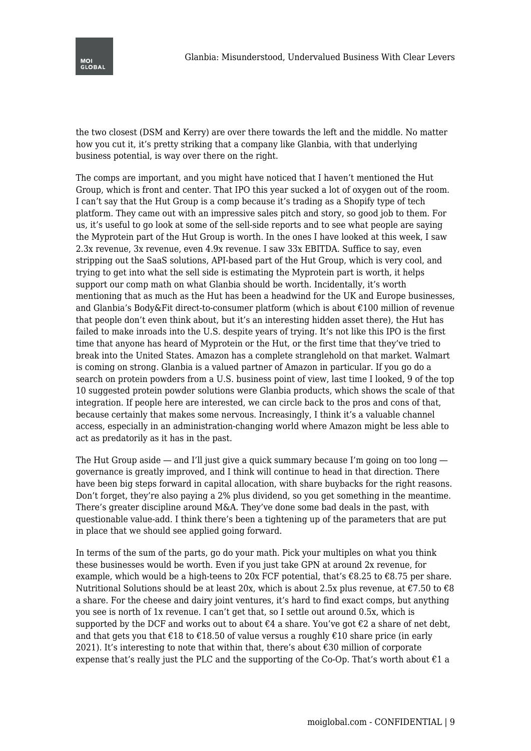

the two closest (DSM and Kerry) are over there towards the left and the middle. No matter how you cut it, it's pretty striking that a company like Glanbia, with that underlying business potential, is way over there on the right.

The comps are important, and you might have noticed that I haven't mentioned the Hut Group, which is front and center. That IPO this year sucked a lot of oxygen out of the room. I can't say that the Hut Group is a comp because it's trading as a Shopify type of tech platform. They came out with an impressive sales pitch and story, so good job to them. For us, it's useful to go look at some of the sell-side reports and to see what people are saying the Myprotein part of the Hut Group is worth. In the ones I have looked at this week, I saw 2.3x revenue, 3x revenue, even 4.9x revenue. I saw 33x EBITDA. Suffice to say, even stripping out the SaaS solutions, API-based part of the Hut Group, which is very cool, and trying to get into what the sell side is estimating the Myprotein part is worth, it helps support our comp math on what Glanbia should be worth. Incidentally, it's worth mentioning that as much as the Hut has been a headwind for the UK and Europe businesses, and Glanbia's Body&Fit direct-to-consumer platform (which is about  $\epsilon$ 100 million of revenue that people don't even think about, but it's an interesting hidden asset there), the Hut has failed to make inroads into the U.S. despite years of trying. It's not like this IPO is the first time that anyone has heard of Myprotein or the Hut, or the first time that they've tried to break into the United States. Amazon has a complete stranglehold on that market. Walmart is coming on strong. Glanbia is a valued partner of Amazon in particular. If you go do a search on protein powders from a U.S. business point of view, last time I looked, 9 of the top 10 suggested protein powder solutions were Glanbia products, which shows the scale of that integration. If people here are interested, we can circle back to the pros and cons of that, because certainly that makes some nervous. Increasingly, I think it's a valuable channel access, especially in an administration-changing world where Amazon might be less able to act as predatorily as it has in the past.

The Hut Group aside — and I'll just give a quick summary because I'm going on too long governance is greatly improved, and I think will continue to head in that direction. There have been big steps forward in capital allocation, with share buybacks for the right reasons. Don't forget, they're also paying a 2% plus dividend, so you get something in the meantime. There's greater discipline around M&A. They've done some bad deals in the past, with questionable value-add. I think there's been a tightening up of the parameters that are put in place that we should see applied going forward.

In terms of the sum of the parts, go do your math. Pick your multiples on what you think these businesses would be worth. Even if you just take GPN at around 2x revenue, for example, which would be a high-teens to 20x FCF potential, that's  $\epsilon$ 8.25 to  $\epsilon$ 8.75 per share. Nutritional Solutions should be at least 20x, which is about 2.5x plus revenue, at  $\epsilon$ 7.50 to  $\epsilon$ 8 a share. For the cheese and dairy joint ventures, it's hard to find exact comps, but anything you see is north of 1x revenue. I can't get that, so I settle out around 0.5x, which is supported by the DCF and works out to about  $\epsilon 4$  a share. You've got  $\epsilon 2$  a share of net debt, and that gets you that  $\epsilon$ 18 to  $\epsilon$ 18.50 of value versus a roughly  $\epsilon$ 10 share price (in early 2021). It's interesting to note that within that, there's about  $\epsilon$ 30 million of corporate expense that's really just the PLC and the supporting of the Co-Op. That's worth about  $\epsilon$ 1 a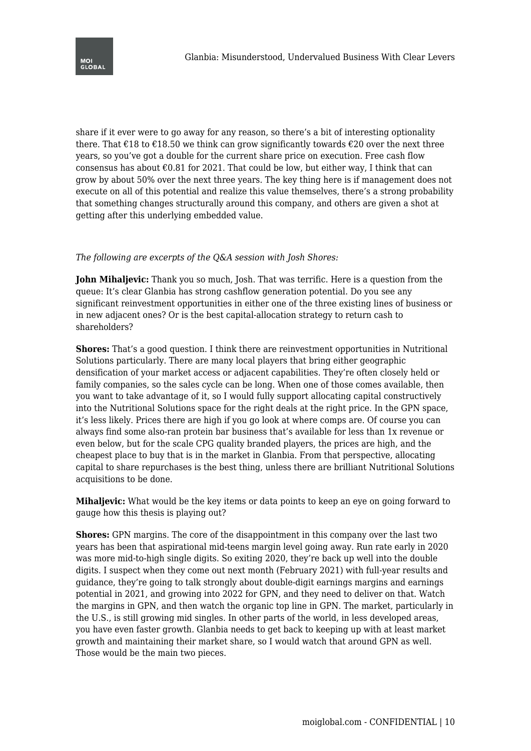

share if it ever were to go away for any reason, so there's a bit of interesting optionality there. That  $\epsilon$ 18 to  $\epsilon$ 18.50 we think can grow significantly towards  $\epsilon$ 20 over the next three years, so you've got a double for the current share price on execution. Free cash flow consensus has about  $\epsilon 0.81$  for 2021. That could be low, but either way, I think that can grow by about 50% over the next three years. The key thing here is if management does not execute on all of this potential and realize this value themselves, there's a strong probability that something changes structurally around this company, and others are given a shot at getting after this underlying embedded value.

## *The following are excerpts of the Q&A session with Josh Shores:*

**John Mihaljevic:** Thank you so much, Josh. That was terrific. Here is a question from the queue: It's clear Glanbia has strong cashflow generation potential. Do you see any significant reinvestment opportunities in either one of the three existing lines of business or in new adjacent ones? Or is the best capital-allocation strategy to return cash to shareholders?

**Shores:** That's a good question. I think there are reinvestment opportunities in Nutritional Solutions particularly. There are many local players that bring either geographic densification of your market access or adjacent capabilities. They're often closely held or family companies, so the sales cycle can be long. When one of those comes available, then you want to take advantage of it, so I would fully support allocating capital constructively into the Nutritional Solutions space for the right deals at the right price. In the GPN space, it's less likely. Prices there are high if you go look at where comps are. Of course you can always find some also-ran protein bar business that's available for less than 1x revenue or even below, but for the scale CPG quality branded players, the prices are high, and the cheapest place to buy that is in the market in Glanbia. From that perspective, allocating capital to share repurchases is the best thing, unless there are brilliant Nutritional Solutions acquisitions to be done.

**Mihaljevic:** What would be the key items or data points to keep an eye on going forward to gauge how this thesis is playing out?

**Shores:** GPN margins. The core of the disappointment in this company over the last two years has been that aspirational mid-teens margin level going away. Run rate early in 2020 was more mid-to-high single digits. So exiting 2020, they're back up well into the double digits. I suspect when they come out next month (February 2021) with full-year results and guidance, they're going to talk strongly about double-digit earnings margins and earnings potential in 2021, and growing into 2022 for GPN, and they need to deliver on that. Watch the margins in GPN, and then watch the organic top line in GPN. The market, particularly in the U.S., is still growing mid singles. In other parts of the world, in less developed areas, you have even faster growth. Glanbia needs to get back to keeping up with at least market growth and maintaining their market share, so I would watch that around GPN as well. Those would be the main two pieces.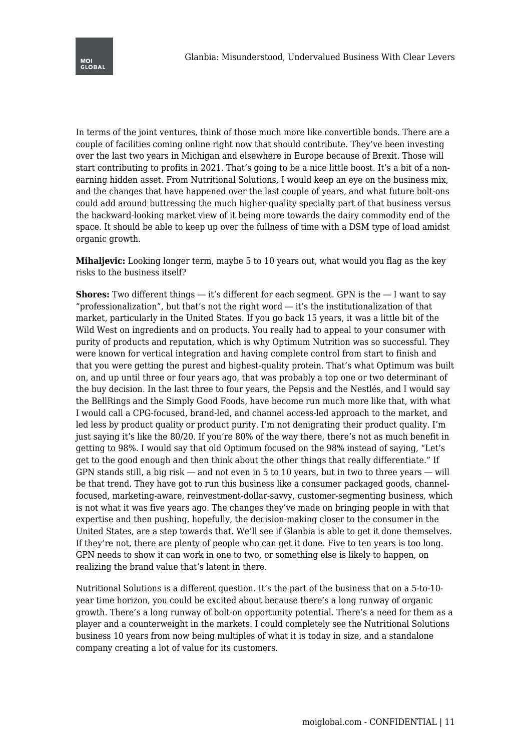In terms of the joint ventures, think of those much more like convertible bonds. There are a couple of facilities coming online right now that should contribute. They've been investing over the last two years in Michigan and elsewhere in Europe because of Brexit. Those will start contributing to profits in 2021. That's going to be a nice little boost. It's a bit of a nonearning hidden asset. From Nutritional Solutions, I would keep an eye on the business mix, and the changes that have happened over the last couple of years, and what future bolt-ons could add around buttressing the much higher-quality specialty part of that business versus the backward-looking market view of it being more towards the dairy commodity end of the space. It should be able to keep up over the fullness of time with a DSM type of load amidst organic growth.

**Mihaljevic:** Looking longer term, maybe 5 to 10 years out, what would you flag as the key risks to the business itself?

**Shores:** Two different things — it's different for each segment. GPN is the  $-1$  want to say "professionalization", but that's not the right word  $-$  it's the institutionalization of that market, particularly in the United States. If you go back 15 years, it was a little bit of the Wild West on ingredients and on products. You really had to appeal to your consumer with purity of products and reputation, which is why Optimum Nutrition was so successful. They were known for vertical integration and having complete control from start to finish and that you were getting the purest and highest-quality protein. That's what Optimum was built on, and up until three or four years ago, that was probably a top one or two determinant of the buy decision. In the last three to four years, the Pepsis and the Nestlés, and I would say the BellRings and the Simply Good Foods, have become run much more like that, with what I would call a CPG-focused, brand-led, and channel access-led approach to the market, and led less by product quality or product purity. I'm not denigrating their product quality. I'm just saying it's like the 80/20. If you're 80% of the way there, there's not as much benefit in getting to 98%. I would say that old Optimum focused on the 98% instead of saying, "Let's get to the good enough and then think about the other things that really differentiate." If GPN stands still, a big risk ― and not even in 5 to 10 years, but in two to three years ― will be that trend. They have got to run this business like a consumer packaged goods, channelfocused, marketing-aware, reinvestment-dollar-savvy, customer-segmenting business, which is not what it was five years ago. The changes they've made on bringing people in with that expertise and then pushing, hopefully, the decision-making closer to the consumer in the United States, are a step towards that. We'll see if Glanbia is able to get it done themselves. If they're not, there are plenty of people who can get it done. Five to ten years is too long. GPN needs to show it can work in one to two, or something else is likely to happen, on realizing the brand value that's latent in there.

Nutritional Solutions is a different question. It's the part of the business that on a 5-to-10 year time horizon, you could be excited about because there's a long runway of organic growth. There's a long runway of bolt-on opportunity potential. There's a need for them as a player and a counterweight in the markets. I could completely see the Nutritional Solutions business 10 years from now being multiples of what it is today in size, and a standalone company creating a lot of value for its customers.